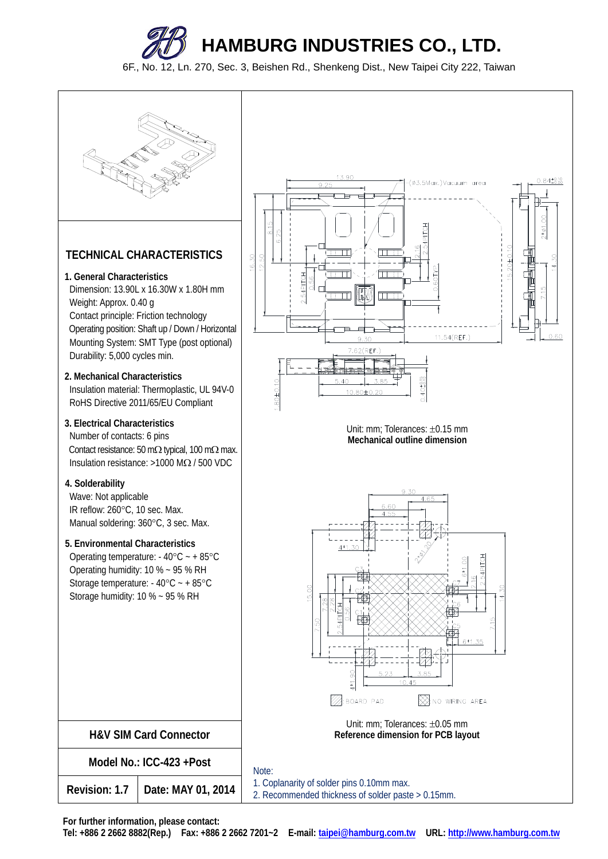

6F., No. 12, Ln. 270, Sec. 3, Beishen Rd., Shenkeng Dist., New Taipei City 222, Taiwan



**For further information, please contact:**